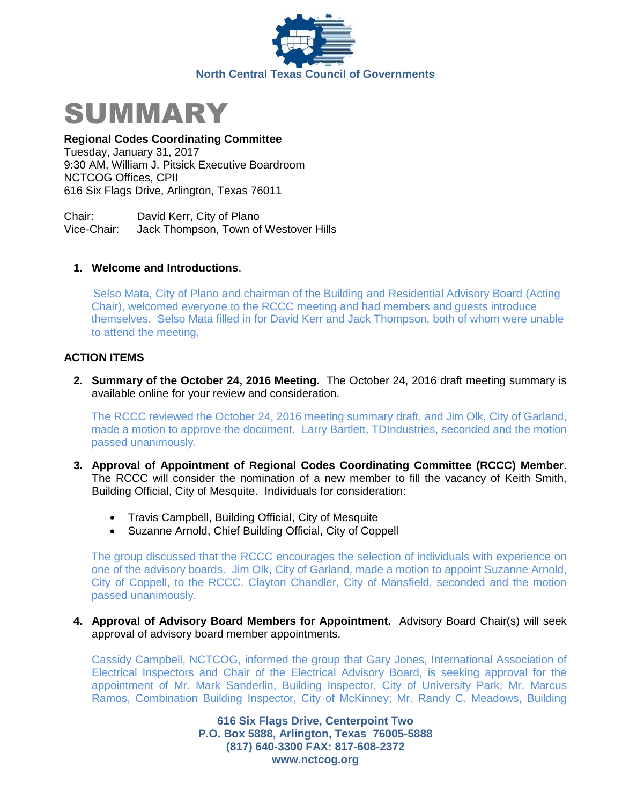



## **Regional Codes Coordinating Committee**

Tuesday, January 31, 2017 9:30 AM, William J. Pitsick Executive Boardroom NCTCOG Offices, CPII 616 Six Flags Drive, Arlington, Texas 76011

Chair: David Kerr, City of Plano Vice-Chair: Jack Thompson, Town of Westover Hills

## **1. Welcome and Introductions**.

 Selso Mata, City of Plano and chairman of the Building and Residential Advisory Board (Acting Chair), welcomed everyone to the RCCC meeting and had members and guests introduce themselves. Selso Mata filled in for David Kerr and Jack Thompson, both of whom were unable to attend the meeting,

# **ACTION ITEMS**

**2. Summary of the October 24, 2016 Meeting.** The October 24, 2016 draft meeting summary is available online for your review and consideration.

The RCCC reviewed the October 24, 2016 meeting summary draft, and Jim Olk, City of Garland, made a motion to approve the document. Larry Bartlett, TDIndustries, seconded and the motion passed unanimously.

- **3. Approval of Appointment of Regional Codes Coordinating Committee (RCCC) Member**. The RCCC will consider the nomination of a new member to fill the vacancy of Keith Smith, Building Official, City of Mesquite. Individuals for consideration:
	- Travis Campbell, Building Official, City of Mesquite
	- Suzanne Arnold, Chief Building Official, City of Coppell

The group discussed that the RCCC encourages the selection of individuals with experience on one of the advisory boards. Jim Olk, City of Garland, made a motion to appoint Suzanne Arnold, City of Coppell, to the RCCC. Clayton Chandler, City of Mansfield, seconded and the motion passed unanimously.

### **4. Approval of Advisory Board Members for Appointment.** Advisory Board Chair(s) will seek approval of advisory board member appointments.

Cassidy Campbell, NCTCOG, informed the group that Gary Jones, International Association of Electrical Inspectors and Chair of the Electrical Advisory Board, is seeking approval for the appointment of Mr. Mark Sanderlin, Building Inspector, City of University Park; Mr. Marcus Ramos, Combination Building Inspector, City of McKinney; Mr. Randy C. Meadows, Building

> **616 Six Flags Drive, Centerpoint Two P.O. Box 5888, Arlington, Texas 76005-5888 (817) 640-3300 FAX: 817-608-2372 www.nctcog.org**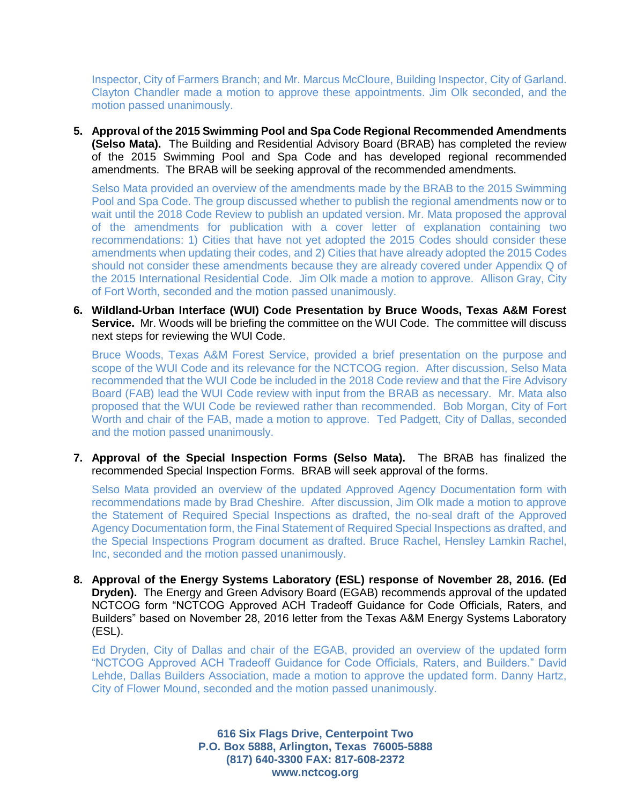Inspector, City of Farmers Branch; and Mr. Marcus McCloure, Building Inspector, City of Garland. Clayton Chandler made a motion to approve these appointments. Jim Olk seconded, and the motion passed unanimously.

**5. Approval of the 2015 Swimming Pool and Spa Code Regional Recommended Amendments (Selso Mata).** The Building and Residential Advisory Board (BRAB) has completed the review of the 2015 Swimming Pool and Spa Code and has developed regional recommended amendments. The BRAB will be seeking approval of the recommended amendments.

Selso Mata provided an overview of the amendments made by the BRAB to the 2015 Swimming Pool and Spa Code. The group discussed whether to publish the regional amendments now or to wait until the 2018 Code Review to publish an updated version. Mr. Mata proposed the approval of the amendments for publication with a cover letter of explanation containing two recommendations: 1) Cities that have not yet adopted the 2015 Codes should consider these amendments when updating their codes, and 2) Cities that have already adopted the 2015 Codes should not consider these amendments because they are already covered under Appendix Q of the 2015 International Residential Code. Jim Olk made a motion to approve. Allison Gray, City of Fort Worth, seconded and the motion passed unanimously.

**6. Wildland-Urban Interface (WUI) Code Presentation by Bruce Woods, Texas A&M Forest Service.** Mr. Woods will be briefing the committee on the WUI Code. The committee will discuss next steps for reviewing the WUI Code.

Bruce Woods, Texas A&M Forest Service, provided a brief presentation on the purpose and scope of the WUI Code and its relevance for the NCTCOG region. After discussion, Selso Mata recommended that the WUI Code be included in the 2018 Code review and that the Fire Advisory Board (FAB) lead the WUI Code review with input from the BRAB as necessary. Mr. Mata also proposed that the WUI Code be reviewed rather than recommended. Bob Morgan, City of Fort Worth and chair of the FAB, made a motion to approve. Ted Padgett, City of Dallas, seconded and the motion passed unanimously.

**7. Approval of the Special Inspection Forms (Selso Mata).** The BRAB has finalized the recommended Special Inspection Forms. BRAB will seek approval of the forms.

Selso Mata provided an overview of the updated Approved Agency Documentation form with recommendations made by Brad Cheshire. After discussion, Jim Olk made a motion to approve the Statement of Required Special Inspections as drafted, the no-seal draft of the Approved Agency Documentation form, the Final Statement of Required Special Inspections as drafted, and the Special Inspections Program document as drafted. Bruce Rachel, Hensley Lamkin Rachel, Inc, seconded and the motion passed unanimously.

**8. Approval of the Energy Systems Laboratory (ESL) response of November 28, 2016. (Ed Dryden).** The Energy and Green Advisory Board (EGAB) recommends approval of the updated NCTCOG form "NCTCOG Approved ACH Tradeoff Guidance for Code Officials, Raters, and Builders" based on November 28, 2016 letter from the Texas A&M Energy Systems Laboratory (ESL).

Ed Dryden, City of Dallas and chair of the EGAB, provided an overview of the updated form "NCTCOG Approved ACH Tradeoff Guidance for Code Officials, Raters, and Builders." David Lehde, Dallas Builders Association, made a motion to approve the updated form. Danny Hartz, City of Flower Mound, seconded and the motion passed unanimously.

> **616 Six Flags Drive, Centerpoint Two P.O. Box 5888, Arlington, Texas 76005-5888 (817) 640-3300 FAX: 817-608-2372 www.nctcog.org**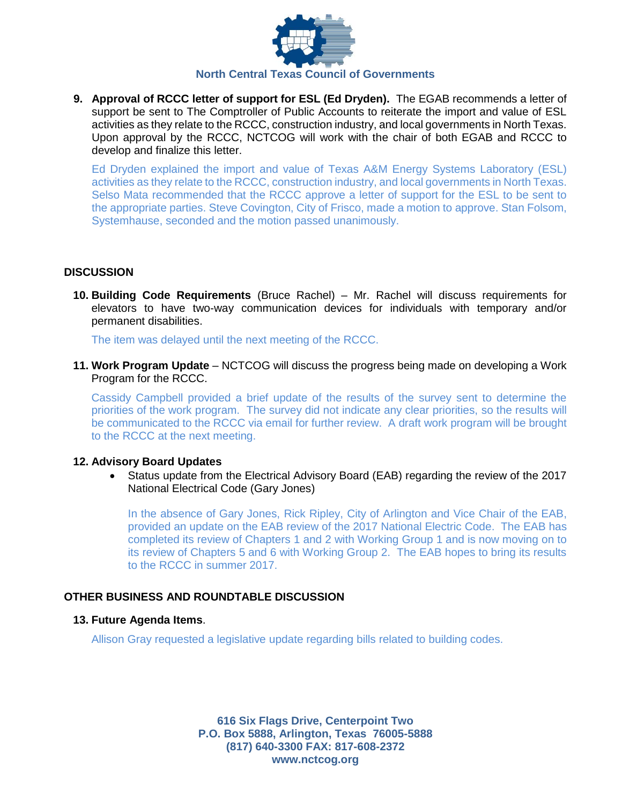

**9. Approval of RCCC letter of support for ESL (Ed Dryden).** The EGAB recommends a letter of support be sent to The Comptroller of Public Accounts to reiterate the import and value of ESL activities as they relate to the RCCC, construction industry, and local governments in North Texas. Upon approval by the RCCC, NCTCOG will work with the chair of both EGAB and RCCC to develop and finalize this letter.

Ed Dryden explained the import and value of Texas A&M Energy Systems Laboratory (ESL) activities as they relate to the RCCC, construction industry, and local governments in North Texas. Selso Mata recommended that the RCCC approve a letter of support for the ESL to be sent to the appropriate parties. Steve Covington, City of Frisco, made a motion to approve. Stan Folsom, Systemhause, seconded and the motion passed unanimously.

## **DISCUSSION**

**10. Building Code Requirements** (Bruce Rachel) – Mr. Rachel will discuss requirements for elevators to have two-way communication devices for individuals with temporary and/or permanent disabilities.

The item was delayed until the next meeting of the RCCC.

**11. Work Program Update** – NCTCOG will discuss the progress being made on developing a Work Program for the RCCC.

Cassidy Campbell provided a brief update of the results of the survey sent to determine the priorities of the work program. The survey did not indicate any clear priorities, so the results will be communicated to the RCCC via email for further review. A draft work program will be brought to the RCCC at the next meeting.

### **12. Advisory Board Updates**

 Status update from the Electrical Advisory Board (EAB) regarding the review of the 2017 National Electrical Code (Gary Jones)

In the absence of Gary Jones, Rick Ripley, City of Arlington and Vice Chair of the EAB, provided an update on the EAB review of the 2017 National Electric Code. The EAB has completed its review of Chapters 1 and 2 with Working Group 1 and is now moving on to its review of Chapters 5 and 6 with Working Group 2. The EAB hopes to bring its results to the RCCC in summer 2017.

## **OTHER BUSINESS AND ROUNDTABLE DISCUSSION**

### **13. Future Agenda Items**.

Allison Gray requested a legislative update regarding bills related to building codes.

**616 Six Flags Drive, Centerpoint Two P.O. Box 5888, Arlington, Texas 76005-5888 (817) 640-3300 FAX: 817-608-2372 www.nctcog.org**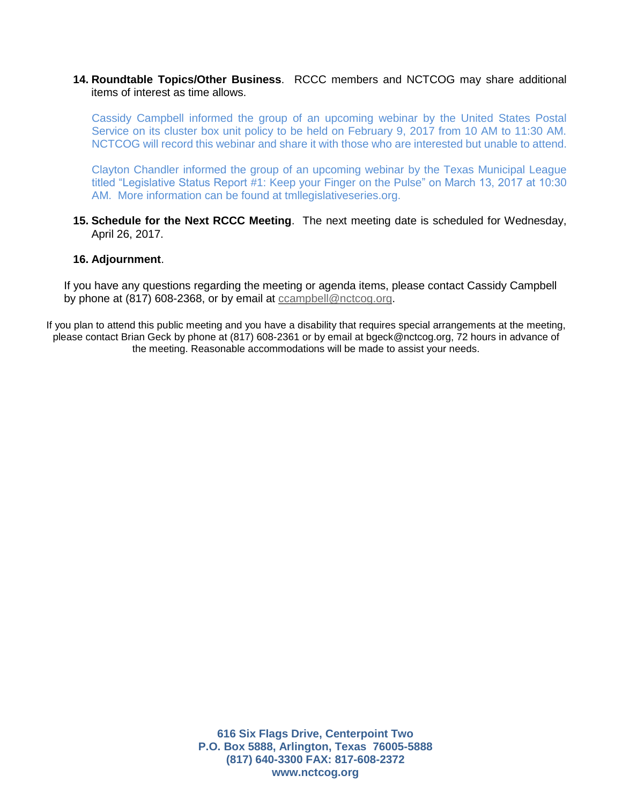## **14. Roundtable Topics/Other Business**. RCCC members and NCTCOG may share additional items of interest as time allows.

Cassidy Campbell informed the group of an upcoming webinar by the United States Postal Service on its cluster box unit policy to be held on February 9, 2017 from 10 AM to 11:30 AM. NCTCOG will record this webinar and share it with those who are interested but unable to attend.

Clayton Chandler informed the group of an upcoming webinar by the Texas Municipal League titled "Legislative Status Report #1: Keep your Finger on the Pulse" on March 13, 2017 at 10:30 AM. More information can be found at tmllegislativeseries.org.

**15. Schedule for the Next RCCC Meeting**. The next meeting date is scheduled for Wednesday, April 26, 2017.

#### **16. Adjournment**.

If you have any questions regarding the meeting or agenda items, please contact Cassidy Campbell by phone at (817) 608-2368, or by email at [ccampbell@nctcog.org.](mailto:ccampbell@nctcog.org)

If you plan to attend this public meeting and you have a disability that requires special arrangements at the meeting, please contact Brian Geck by phone at (817) 608-2361 or by email at bgeck@nctcog.org, 72 hours in advance of the meeting. Reasonable accommodations will be made to assist your needs.

> **616 Six Flags Drive, Centerpoint Two P.O. Box 5888, Arlington, Texas 76005-5888 (817) 640-3300 FAX: 817-608-2372 www.nctcog.org**